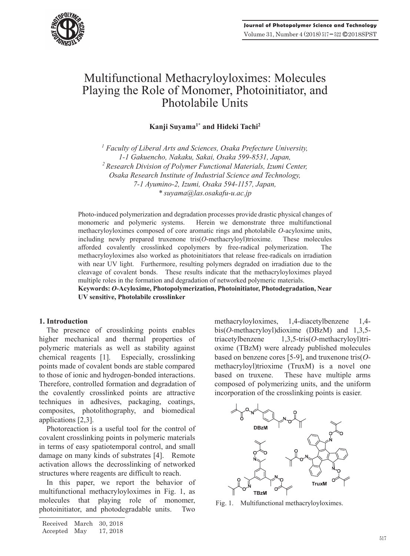

# Multifunctional Methacryloyloximes: Molecules Playing the Role of Monomer, Photoinitiator, and Photolabile Units

**Kanji Suyama1\* and Hideki Tachi2**

<sup>1</sup> Faculty of Liberal Arts and Sciences, Osaka Prefecture University, *1-1 Gakuencho, Nakaku, Sakai, Osaka 599-8531, Japan, 2 Research Division of Polymer Functional Materials, Izumi Center, Osaka Research Institute of Industrial Science and Technology, 7-1 Ayumino-2, Izumi, Osaka 594-1157, Japan, \* suyama@las.osakafu-u.ac.jp* 

Photo-induced polymerization and degradation processes provide drastic physical changes of monomeric and polymeric systems. Herein we demonstrate three multifunctional methacryloyloximes composed of core aromatic rings and photolabile *O*-acyloxime units, including newly prepared truxenone tris(*O*-methacryloyl)trioxime. These molecules afforded covalently crosslinked copolymers by free-radical polymerization. The methacryloyloximes also worked as photoinitiators that release free-radicals on irradiation with near UV light. Furthermore, resulting polymers degraded on irradiation due to the cleavage of covalent bonds. These results indicate that the methacryloyloximes played multiple roles in the formation and degradation of networked polymeric materials.

**Keywords:** *O***-Acyloxime, Photopolymerization, Photoinitiator, Photodegradation, Near UV sensitive, Photolabile crosslinker** 

# **1. Introduction**

The presence of crosslinking points enables higher mechanical and thermal properties of polymeric materials as well as stability against chemical reagents [1]. Especially, crosslinking points made of covalent bonds are stable compared to those of ionic and hydrogen-bonded interactions. Therefore, controlled formation and degradation of the covalently crosslinked points are attractive techniques in adhesives, packaging, coatings, composites, photolithography, and biomedical applications [2,3].

Photoreaction is a useful tool for the control of covalent crosslinking points in polymeric materials in terms of easy spatiotemporal control, and small damage on many kinds of substrates [4]. Remote activation allows the decrosslinking of networked structures where reagents are difficult to reach.

In this paper, we report the behavior of multifunctional methacryloyloximes in Fig. 1, as molecules that playing role of monomer, photoinitiator, and photodegradable units. Two

methacryloyloximes, 1,4-diacetylbenzene 1,4 bis(*O*-methacryloyl)dioxime (DBzM) and 1,3,5 triacetylbenzene 1,3,5-tris(*O*-methacryloyl)trioxime (TBzM) were already published molecules based on benzene cores [5-9], and truxenone tris(*O*methacryloyl)trioxime (TruxM) is a novel one based on truxene. These have multiple arms composed of polymerizing units, and the uniform incorporation of the crosslinking points is easier.



Fig. 1. Multifunctional methacryloyloximes.

Received March 30, 2018 17, 2018 Accepted May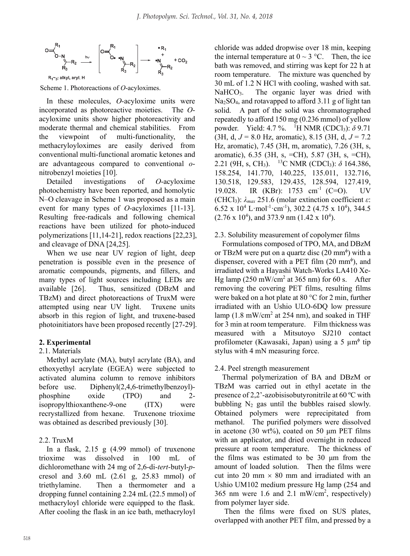

Scheme 1. Photoreactions of *O*-acyloximes.

In these molecules, *O*-acyloxime units were incorporated as photoreactive moieties. The *O*acyloxime units show higher photoreactivity and moderate thermal and chemical stabilities. From the viewpoint of multi-functionality, the methacryloyloximes are easily derived from conventional multi-functional aromatic ketones and are advantageous compared to conventional *o*nitrobenzyl moieties [10].

Detailed investigations of *O*-acyloxime photochemistry have been reported, and homolytic N–O cleavage in Scheme 1 was proposed as a main event for many types of *O*-acyloximes [11-13]. Resulting free-radicals and following chemical reactions have been utilized for photo-induced polymerizations [11,14-21], redox reactions [22,23], and cleavage of DNA [24,25].

When we use near UV region of light, deep penetration is possible even in the presence of aromatic compounds, pigments, and fillers, and many types of light sources including LEDs are available [26]. Thus, sensitized (DBzM and TBzM) and direct photoreactions of TruxM were attempted using near UV light. Truxene units absorb in this region of light, and truxene-based photoinitiators have been proposed recently [27-29].

# **2. Experimental**

# 2.1. Materials

Methyl acrylate (MA), butyl acrylate (BA), and ethoxyethyl acrylate (EGEA) were subjected to activated alumina column to remove inhibitors before use. Diphenyl(2,4,6-trimethylbenzoyl) phosphine oxide (TPO) and 2 isopropylthioxanthene-9-one (ITX) were recrystallized from hexane. Truxenone trioxime was obtained as described previously [30].

# 2.2. TruxM

In a flask, 2.15 g (4.99 mmol) of truxenone trioxime was dissolved in 100 mL of dichloromethane with 24 mg of 2,6-di-*tert*-butyl-*p*cresol and 3.60 mL (2.61 g, 25.83 mmol) of triethylamine. Then a thermometer and a dropping funnel containing 2.24 mL (22.5 mmol) of methacryloyl chloride were equipped to the flask. After cooling the flask in an ice bath, methacryloyl chloride was added dropwise over 18 min, keeping the internal temperature at  $0 \sim 3$  °C. Then, the ice bath was removed, and stirring was kept for 22 h at room temperature. The mixture was quenched by 30 mL of 1.2 N HCl with cooling, washed with sat. NaHCO<sub>3</sub>. The organic layer was dried with Na2SO4, and rotavapped to afford 3.11 g of light tan solid. A part of the solid was chromatographed repeatedly to afford 150 mg (0.236 mmol) of yellow powder. Yield: 4.7 %. <sup>1</sup>H NMR (CDCl<sub>3</sub>): δ 9.71 (3H, d,  $J = 8.0$  Hz, aromatic), 8.15 (3H, d,  $J = 7.2$ ) Hz, aromatic), 7.45 (3H, m, aromatic), 7.26 (3H, s, aromatic), 6.35 (3H, s, =CH), 5.87 (3H, s, =CH), 2.21 (9H, s, CH<sub>3</sub>). <sup>13</sup>C NMR (CDCl<sub>3</sub>):  $\delta$  164.386, 158.254, 141.770, 140.225, 135.011, 132.716, 130.518, 129.583, 129.435, 128.594, 127.419, 19.028. IR (KBr): 1753 cm<sup>-1</sup> (C=O). UV (CHCl3): *λmax* 251.6 (molar extinction coefficient *ε*:  $6.52 \times 10^4$  L·mol<sup>-1</sup>·cm<sup>-1</sup>), 302.2 (4.75 x 10<sup>4</sup>), 344.5  $(2.76 \times 10^4)$ , and 373.9 nm  $(1.42 \times 10^4)$ .

## 2.3. Solubility measurement of copolymer films

Formulations composed of TPO, MA, and DBzM or TBzM were put on a quartz disc  $(20 \text{ mm}^4)$  with a dispenser, covered with a PET film  $(20 \text{ mm}^{\phi})$ , and irradiated with a Hayashi Watch-Works LA410 Xe-Hg lamp  $(250 \text{ mW/cm}^2$  at 365 nm) for 60 s. After removing the covering PET films, resulting films were baked on a hot plate at 80 °C for 2 min, further irradiated with an Ushio ULO-6DQ low pressure lamp  $(1.8 \text{ mW/cm}^2$  at 254 nm), and soaked in THF for 3 min at room temperature. Film thickness was measured with a Mitsutoyo SJ210 contact profilometer (Kawasaki, Japan) using a 5 µm<sup>¢</sup> tip stylus with 4 mN measuring force.

# 2.4. Peel strength measurement

Thermal polymerization of BA and DBzM or TBzM was carried out in ethyl acetate in the presence of 2,2'-azobisisobutyronitrile at 60 ºC with bubbling  $N_2$  gas until the bubbles raised slowly. Obtained polymers were reprecipitated from methanol. The purified polymers were dissolved in acetone (30 wt%), coated on 50  $\mu$ m PET films with an applicator, and dried overnight in reduced pressure at room temperature. The thickness of the films was estimated to be 30 μm from the amount of loaded solution. Then the films were cut into 20 mm  $\times$  80 mm and irradiated with an Ushio UM102 medium pressure Hg lamp (254 and 365 nm were 1.6 and 2.1 mW/cm<sup>2</sup>, respectively) from polymer layer side.

Then the films were fixed on SUS plates, overlapped with another PET film, and pressed by a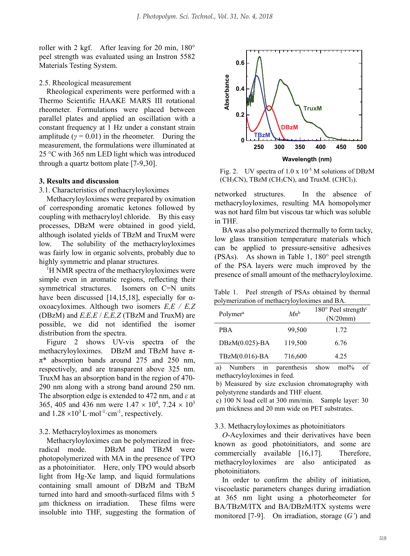roller with 2 kgf. After leaving for 20 min, 180° peel strength was evaluated using an Instron 5582 Materials Testing System.

## 2.5. Rheological measurement

Rheological experiments were performed with a Thermo Scientific HAAKE MARS III rotational rheometer. Formulations were placed between parallel plates and applied an oscillation with a constant frequency at 1 Hz under a constant strain amplitude ( $\gamma = 0.01$ ) in the rheometer. During the measurement, the formulations were illuminated at 25 °C with 365 nm LED light which was introduced through a quartz bottom plate [7-9,30].

#### **3. Results and discussion**

3.1. Characteristics of methacryloyloximes

Methacryloyloximes were prepared by oximation of corresponding aromatic ketones followed by coupling with methacryloyl chloride. By this easy processes, DBzM were obtained in good yield, although isolated yields of TBzM and TruxM were low. The solubility of the methacryloyloximes was fairly low in organic solvents, probably due to highly symmetric and planar structures.

<sup>1</sup>H NMR spectra of the methacryloyloximes were simple even in aromatic regions, reflecting their symmetrical structures. Isomers on C=N units have been discussed [14,15,18], especially for  $\alpha$ oxoacyloximes. Although two isomers *E,E / E,Z* (DBzM) and *E,E,E* / *E,E,Z* (TBzM and TruxM) are possible, we did not identified the isomer distribution from the spectra.

Figure 2 shows UV-vis spectra of the methacryloyloximes. DBzM and TBzM have π- $\pi^*$  absorption bands around 275 and 250 nm, respectively, and are transparent above 325 nm. TruxM has an absorption band in the region of 470- 290 nm along with a strong band around 250 nm. The absorption edge is extended to 472 nm, and *ε* at 365, 405 and 436 nm were  $1.47 \times 10^4$ , 7.24  $\times 10^3$ and  $1.28 \times 10^3$  L·mol<sup>-1</sup>·cm<sup>-1</sup>, respectively.

## 3.2. Methacryloyloximes as monomers

Methacryloyloximes can be polymerized in freeradical mode. DBzM and TBzM were photopolymerized with MA in the presence of TPO as a photoinitiator. Here, only TPO would absorb light from Hg-Xe lamp, and liquid formulations containing small amount of DBzM and TBzM turned into hard and smooth-surfaced films with 5 μm thickness on irradiation. These films were insoluble into THF, suggesting the formation of



Fig. 2. UV spectra of  $1.0 \times 10^{-5}$  M solutions of DBzM  $(CH_3CN)$ , TBzM (CH<sub>3</sub>CN), and TruxM. (CHCl<sub>3</sub>).

networked structures. In the absence of methacryloyloximes, resulting MA homopolymer was not hard film but viscous tar which was soluble in THF.

BA was also polymerized thermally to form tacky, low glass transition temperature materials which can be applied to pressure-sensitive adhesives (PSAs). As shown in Table 1, 180° peel strength of the PSA layers were much improved by the presence of small amount of the methacryloyloxime.

Table 1. Peel strength of PSAs obtained by thermal polymerization of methacryloyloximes and BA.

| Polymer <sup>a</sup> | $Mn^b$  | $180^\circ$ Peel strength <sup>c</sup><br>(N/20mm) |
|----------------------|---------|----------------------------------------------------|
| <b>PRA</b>           | 99,500  | 1.72                                               |
| $DBzM(0.025)$ -BA    | 119,500 | 6.76                                               |
| TBzM(0.016)-BA       | 716,600 | 4.25                                               |

a) Numbers in parenthesis show mol% of methacryloyloximes in feed.

b) Measured by size exclusion chromatography with polystyrene standards and THF eluent.

c) 100 N load cell at 300 mm/min. Sample layer: 30 μm thickness and 20 mm wide on PET substrates.

#### 3.3. Methacryloyloximes as photoinitiators

*O*-Acyloximes and their derivatives have been known as good photoinitiators, and some are commercially available [16,17]. Therefore, methacryloyloximes are also anticipated as photoinitiators.

In order to confirm the ability of initiation, viscoelastic parameters changes during irradiation at 365 nm light using a photorheometer for BA/TBzM/ITX and BA/DBzM/ITX systems were monitored [7-9]. On irradiation, storage (*G'*) and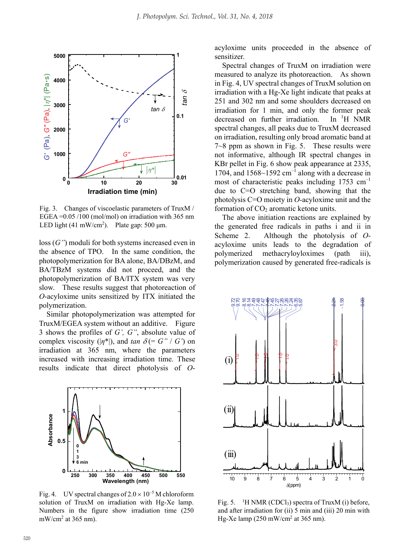

Fig. 3. Changes of viscoelastic parameters of TruxM / EGEA =0.05 /100 (mol/mol) on irradiation with 365 nm LED light  $(41 \text{ mW/cm}^2)$ . Plate gap: 500 µm.

loss (*G''*) moduli for both systems increased even in the absence of TPO. In the same condition, the photopolymerization for BA alone, BA/DBzM, and BA/TBzM systems did not proceed, and the photopolymerization of BA/ITX system was very slow. These results suggest that photoreaction of *O*-acyloxime units sensitized by ITX initiated the polymerization.

Similar photopolymerization was attempted for TruxM/EGEA system without an additive. Figure 3 shows the profiles of *G', G''*, absolute value of complex viscosity  $(|\eta^*|)$ , and *tan*  $\delta$  (= *G'' / G'*) on irradiation at 365 nm, where the parameters increased with increasing irradiation time. These results indicate that direct photolysis of *O*-



Fig. 4. UV spectral changes of  $2.0 \times 10^{-5}$  M chloroform solution of TruxM on irradiation with Hg-Xe lamp. Numbers in the figure show irradiation time (250  $mW/cm<sup>2</sup>$  at 365 nm).

acyloxime units proceeded in the absence of sensitizer.

Spectral changes of TruxM on irradiation were measured to analyze its photoreaction. As shown in Fig. 4, UV spectral changes of TruxM solution on irradiation with a Hg-Xe light indicate that peaks at 251 and 302 nm and some shoulders decreased on irradiation for 1 min, and only the former peak decreased on further irradiation. In  ${}^{1}H$  NMR spectral changes, all peaks due to TruxM decreased on irradiation, resulting only broad aromatic band at 7~8 ppm as shown in Fig. 5. These results were not informative, although IR spectral changes in KBr pellet in Fig. 6 show peak appearance at 2335, 1704, and  $1568~1592$  cm<sup>-1</sup> along with a decrease in most of characteristic peaks including  $1753 \text{ cm}^{-1}$ due to C=O stretching band, showing that the photolysis C=O moiety in *O*-acyloxime unit and the formation of  $CO<sub>2</sub>$  aromatic ketone units.

The above initiation reactions are explained by the generated free radicals in paths i and ii in Scheme 2. Although the photolysis of *O*acyloxime units leads to the degradation of polymerized methacryloyloximes (path iii), polymerization caused by generated free-radicals is



Fig. 5. 1 <sup>1</sup>H NMR (CDCl<sub>3</sub>) spectra of TruxM (i) before, and after irradiation for (ii) 5 min and (iii) 20 min with Hg-Xe lamp (250 mW/cm<sup>2</sup> at 365 nm).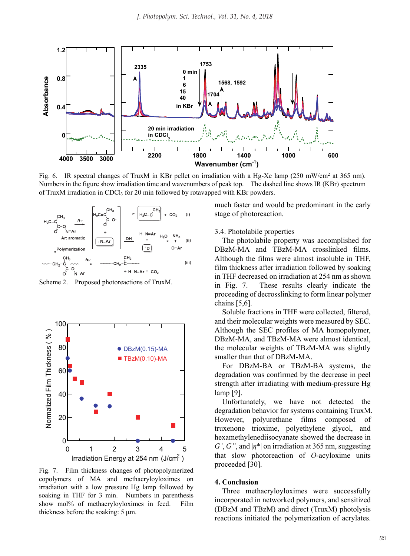

Fig. 6. IR spectral changes of TruxM in KBr pellet on irradiation with a Hg-Xe lamp (250 mW/cm<sup>2</sup> at 365 nm). Numbers in the figure show irradiation time and wavenumbers of peak top. The dashed line shows IR (KBr) spectrum of TruxM irradiation in CDCl<sub>3</sub> for 20 min followed by rotavapped with KBr powders.



Scheme 2. Proposed photoreactions of TruxM.



Fig. 7. Film thickness changes of photopolymerized copolymers of MA and methacryloyloximes on irradiation with a low pressure Hg lamp followed by soaking in THF for 3 min. Numbers in parenthesis show mol% of methacryloyloximes in feed. Film thickness before the soaking: 5 μm.

much faster and would be predominant in the early stage of photoreaction.

#### 3.4. Photolabile properties

The photolabile property was accomplished for DBzM-MA and TBzM-MA crosslinked films. Although the films were almost insoluble in THF, film thickness after irradiation followed by soaking in THF decreased on irradiation at 254 nm as shown in Fig. 7. These results clearly indicate the proceeding of decrosslinking to form linear polymer chains [5,6].

Soluble fractions in THF were collected, filtered, and their molecular weights were measured by SEC. Although the SEC profiles of MA homopolymer, DBzM-MA, and TBzM-MA were almost identical, the molecular weights of TBzM-MA was slightly smaller than that of DBzM-MA.

For DBzM-BA or TBzM-BA systems, the degradation was confirmed by the decrease in peel strength after irradiating with medium-pressure Hg lamp [9].

Unfortunately, we have not detected the degradation behavior for systems containing TruxM. However, polyurethane films composed of truxenone trioxime, polyethylene glycol, and hexamethylenediisocyanate showed the decrease in *G'*, *G''*, and |*η*\*| on irradiation at 365 nm, suggesting that slow photoreaction of *O*-acyloxime units proceeded [30].

#### **4. Conclusion**

Three methacryloyloximes were successfully incorporated in networked polymers, and sensitized (DBzM and TBzM) and direct (TruxM) photolysis reactions initiated the polymerization of acrylates.